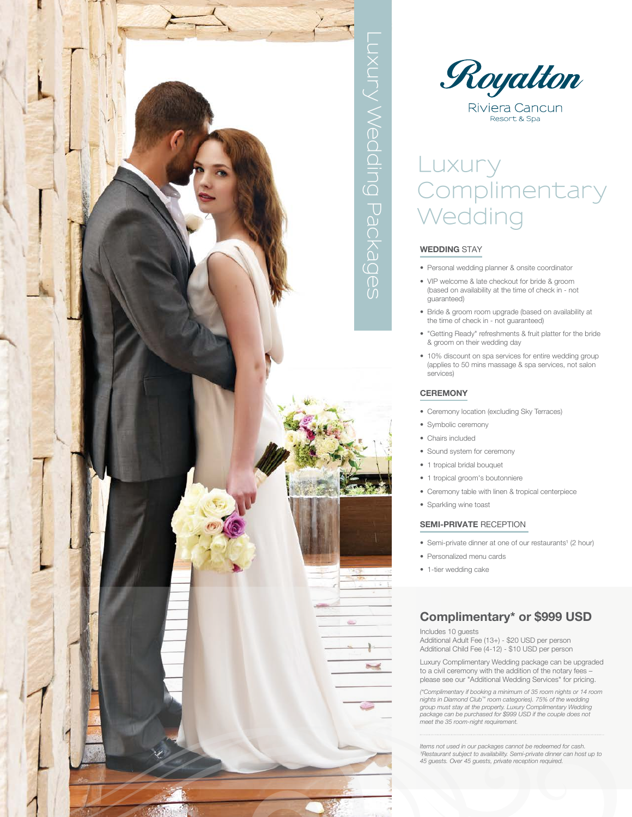

# Royalton Riviera Cancun

Resort & Spa

# **Luxury Complimentary Wedding**

#### **WEDDING** STAY

- Personal wedding planner & onsite coordinator
- VIP welcome & late checkout for bride & groom (based on availability at the time of check in - not guaranteed)
- Bride & groom room upgrade (based on availability at the time of check in - not guaranteed)
- "Getting Ready" refreshments & fruit platter for the bride & groom on their wedding day
- 10% discount on spa services for entire wedding group (applies to 50 mins massage & spa services, not salon services)

#### **CEREMONY**

- Ceremony location (excluding Sky Terraces)
- Symbolic ceremony
- Chairs included
- Sound system for ceremony
- 1 tropical bridal bouquet
- 1 tropical groom's boutonniere
- Ceremony table with linen & tropical centerpiece
- Sparkling wine toast

#### **SEMI-PRIVATE** RECEPTION

- Semi-private dinner at one of our restaurants<sup>1</sup> (2 hour)
- Personalized menu cards
- 1-tier wedding cake

### **Complimentary\* or \$999 USD**

Includes 10 guests

Additional Adult Fee (13+) - \$20 USD per person Additional Child Fee (4-12) - \$10 USD per person

Luxury Complimentary Wedding package can be upgraded to a civil ceremony with the addition of the notary fees – please see our "Additional Wedding Services" for pricing.

*(\*Complimentary if booking a minimum of 35 room nights or 14 room nights in Diamond Club™ room categories). 75% of the wedding group must stay at the property. Luxury Complimentary Wedding package can be purchased for \$999 USD if the couple does not meet the 35 room-night requirement.*

*Items not used in our packages cannot be redeemed for cash. ¹Restaurant subject to availability. Semi-private dinner can host up to 45 guests. Over 45 guests, private reception required.*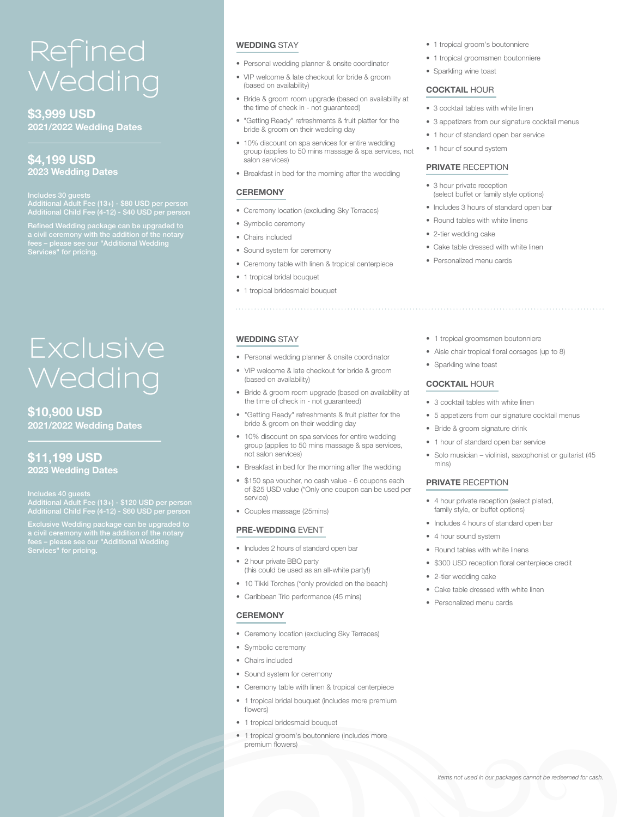# **Refined Wedding**

**\$3,999 USD 2021/2022 Wedding Dates**

### **\$4,199 USD 2023 Wedding Dates**

Includes 30 guests Additional Child Fee (4-12) - \$40 USD per person

Refined Wedding package can be upgraded to a civil ceremony with the addition of the notary fees – please see our "Additional Wedding

# **Exclusive Wedding**

### **\$10,900 USD 2021/2022 Wedding Dates**

### **\$11,199 USD 2023 Wedding Dates**

Additional Child Fee (4-12) - \$60 USD per person

Exclusive Wedding package can be upgraded to<br>a givil coromony with the addition of the natary a civil ceremony with the addition of the notary

#### **WEDDING** STAY

- Personal wedding planner & onsite coordinator
- VIP welcome & late checkout for bride & groom (based on availability)
- Bride & groom room upgrade (based on availability at the time of check in - not guaranteed)
- "Getting Ready" refreshments & fruit platter for the bride & groom on their wedding day
- 10% discount on spa services for entire wedding group (applies to 50 mins massage & spa services, not salon services)
- Breakfast in bed for the morning after the wedding

#### **CEREMONY**

- Ceremony location (excluding Sky Terraces)
- Symbolic ceremony
- Chairs included

**WEDDING** STAY

(based on availability)

not salon services)

• Couples massage (25mins) **PRE-WEDDING** EVENT

• 2 hour private BBQ party

• Includes 2 hours of standard open bar

service)

- Sound system for ceremony
- Ceremony table with linen & tropical centerpiece

• Personal wedding planner & onsite coordinator • VIP welcome & late checkout for bride & groom

the time of check in - not guaranteed)

bride & groom on their wedding day

• Bride & groom room upgrade (based on availability at

• "Getting Ready" refreshments & fruit platter for the

• 10% discount on spa services for entire wedding group (applies to 50 mins massage & spa services,

• Breakfast in bed for the morning after the wedding • \$150 spa voucher, no cash value - 6 coupons each of \$25 USD value (\*Only one coupon can be used per

- 1 tropical bridal bouquet
- 1 tropical bridesmaid bouquet
- 1 tropical groom's boutonniere
- 1 tropical groomsmen boutonniere
- Sparkling wine toast

#### **COCKTAIL** HOUR

- 3 cocktail tables with white linen
- 3 appetizers from our signature cocktail menus
- 1 hour of standard open bar service
- 1 hour of sound system

#### **PRIVATE** RECEPTION

- 3 hour private reception (select buffet or family style options)
- Includes 3 hours of standard open bar
- Round tables with white linens
- 2-tier wedding cake
- Cake table dressed with white linen
- Personalized menu cards
- 1 tropical groomsmen boutonniere
- Aisle chair tropical floral corsages (up to 8)
- Sparkling wine toast

#### **COCKTAIL** HOUR

- 3 cocktail tables with white linen
- 5 appetizers from our signature cocktail menus
- Bride & groom signature drink
- 1 hour of standard open bar service
- Solo musician violinist, saxophonist or guitarist (45 mins)

#### **PRIVATE** RECEPTION

- 4 hour private reception (select plated, family style, or buffet options)
- Includes 4 hours of standard open bar
- 4 hour sound system
- Round tables with white linens
- \$300 USD reception floral centerpiece credit
- 2-tier wedding cake
- Cake table dressed with white linen
- Personalized menu cards

#### **CEREMONY**

• Ceremony location (excluding Sky Terraces)

(this could be used as an all-white party!) • 10 Tikki Torches (\*only provided on the beach) • Caribbean Trio performance (45 mins)

- Symbolic ceremony
- Chairs included
- Sound system for ceremony
- Ceremony table with linen & tropical centerpiece
- 1 tropical bridal bouquet (includes more premium flowers)
- 1 tropical bridesmaid bouquet
- 1 tropical groom's boutonniere (includes more premium flowers)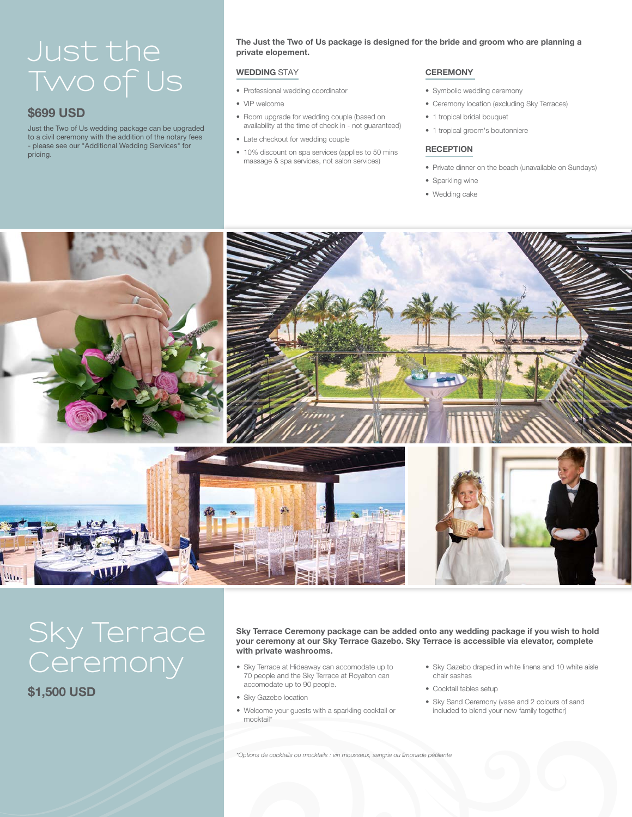# **Just the Two of Us**

### **\$699 USD**

Just the Two of Us wedding package can be upgraded to a civil ceremony with the addition of the notary fees - please see our "Additional Wedding Services" for pricing.

**The Just the Two of Us package is designed for the bride and groom who are planning a private elopement.**

#### **WEDDING** STAY

- Professional wedding coordinator
- VIP welcome
- Room upgrade for wedding couple (based on availability at the time of check in - not guaranteed)
- Late checkout for wedding couple
- 10% discount on spa services (applies to 50 mins massage & spa services, not salon services)

#### **CEREMONY**

- Symbolic wedding ceremony
- Ceremony location (excluding Sky Terraces)
- 1 tropical bridal bouquet
- 1 tropical groom's boutonniere

#### **RECEPTION**

- Private dinner on the beach (unavailable on Sundays)
- Sparkling wine
- Wedding cake



# **Sky Terrace Ceremony**<br>
• Sky Terrace at Hideaway can accomodate up to<br>
70 people and the Sky Terrace at Poyston can

**\$1,500 USD**

#### **Sky Terrace Ceremony package can be added onto any wedding package if you wish to hold your ceremony at our Sky Terrace Gazebo. Sky Terrace is accessible via elevator, complete with private washrooms.**

- 70 people and the Sky Terrace at Royalton can accomodate up to 90 people.
- Sky Gazebo location
- Welcome your guests with a sparkling cocktail or mocktail\*
- Sky Gazebo draped in white linens and 10 white aisle chair sashes
- Cocktail tables setup
- Sky Sand Ceremony (vase and 2 colours of sand included to blend your new family together)

*\*Options de cocktails ou mocktails : vin mousseux, sangria ou limonade pétillante*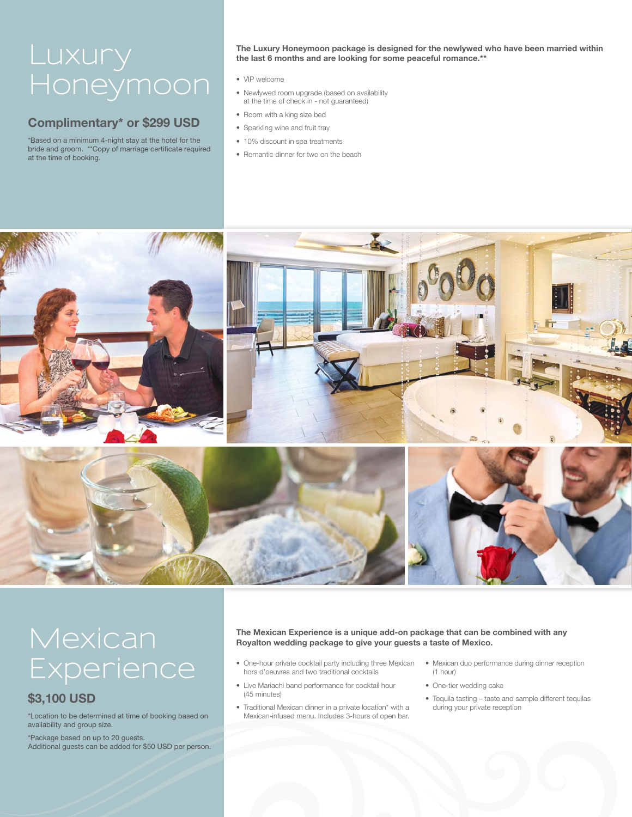# **Luxury Honeymoon**

### **Complimentary\* or \$299 USD**

\*Based on a minimum 4-night stay at the hotel for the bride and groom. \*\*Copy of marriage certificate required at the time of booking.

**The Luxury Honeymoon package is designed for the newlywed who have been married within the last 6 months and are looking for some peaceful romance.\*\***

- VIP welcome
- Newlywed room upgrade (based on availability at the time of check in - not guaranteed)
- Room with a king size bed
- Sparkling wine and fruit tray
- 10% discount in spa treatments
- Romantic dinner for two on the beach



# **Mexican Experience**

## **\$3,100 USD**

\*Location to be determined at time of booking based on availability and group size.

\*Package based on up to 20 guests. Additional guests can be added for \$50 USD per person.

#### **The Mexican Experience is a unique add-on package that can be combined with any Royalton wedding package to give your guests a taste of Mexico.**

- One-hour private cocktail party including three Mexican hors d'oeuvres and two traditional cocktails
- Live Mariachi band performance for cocktail hour (45 minutes)
- Traditional Mexican dinner in a private location\* with a Mexican-infused menu. Includes 3-hours of open bar.
- Mexican duo performance during dinner reception (1 hour)
- One-tier wedding cake
- Tequila tasting taste and sample different tequilas during your private reception